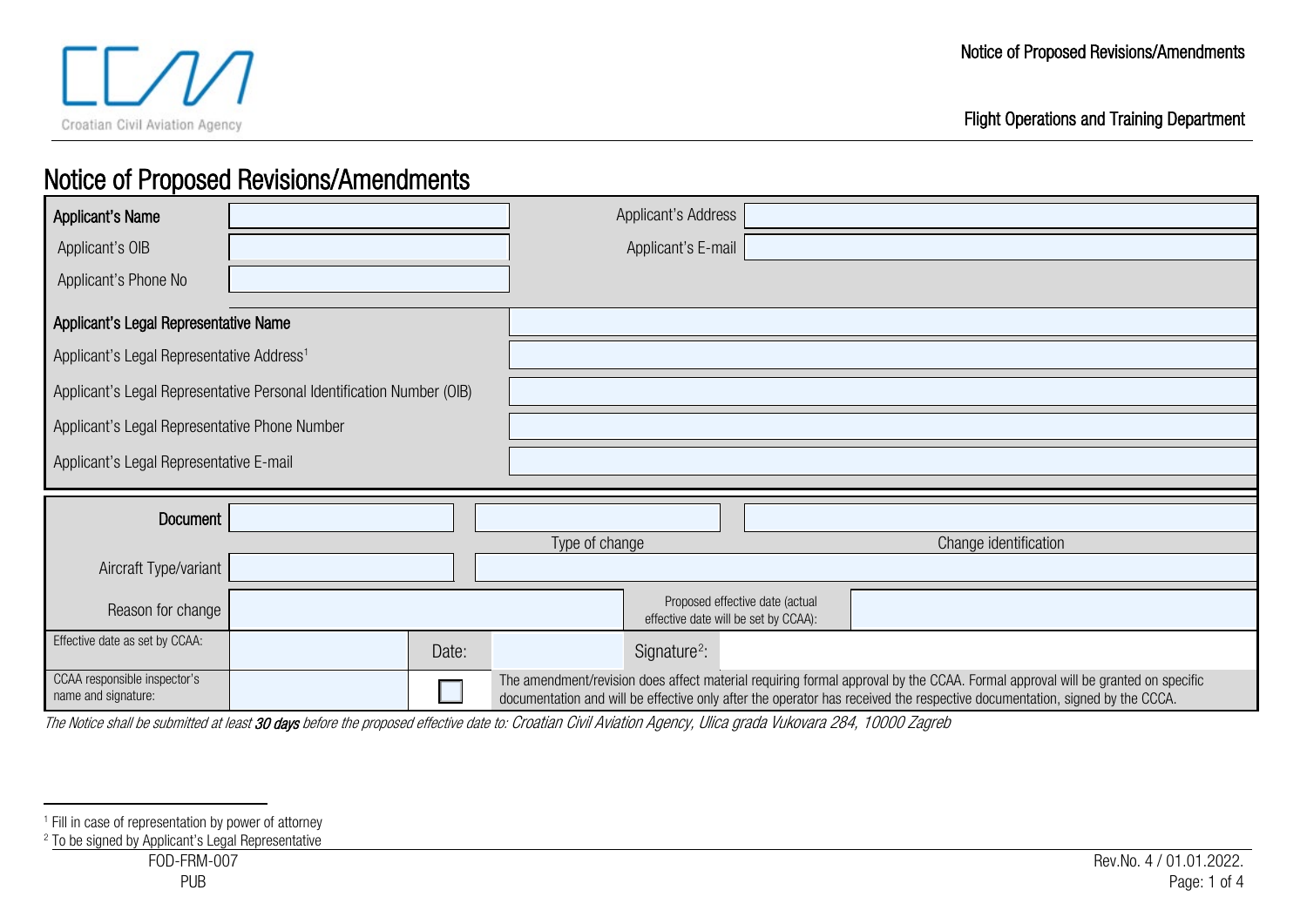

<span id="page-0-1"></span><span id="page-0-0"></span>Flight Operations and Training Department

# Notice of Proposed Revisions/Amendments

| Applicant's Name                                                      | Applicant's Address               |                                                                                                                                                                                                                                                              |  |
|-----------------------------------------------------------------------|-----------------------------------|--------------------------------------------------------------------------------------------------------------------------------------------------------------------------------------------------------------------------------------------------------------|--|
| Applicant's OIB                                                       | Applicant's E-mail                |                                                                                                                                                                                                                                                              |  |
| Applicant's Phone No                                                  |                                   |                                                                                                                                                                                                                                                              |  |
| Applicant's Legal Representative Name                                 |                                   |                                                                                                                                                                                                                                                              |  |
| Applicant's Legal Representative Address <sup>1</sup>                 |                                   |                                                                                                                                                                                                                                                              |  |
| Applicant's Legal Representative Personal Identification Number (OIB) |                                   |                                                                                                                                                                                                                                                              |  |
| Applicant's Legal Representative Phone Number                         |                                   |                                                                                                                                                                                                                                                              |  |
| Applicant's Legal Representative E-mail                               |                                   |                                                                                                                                                                                                                                                              |  |
|                                                                       |                                   |                                                                                                                                                                                                                                                              |  |
| Document                                                              |                                   |                                                                                                                                                                                                                                                              |  |
| Type of change<br>Change identification                               |                                   |                                                                                                                                                                                                                                                              |  |
| Aircraft Type/variant                                                 |                                   |                                                                                                                                                                                                                                                              |  |
| Reason for change                                                     |                                   | Proposed effective date (actual<br>effective date will be set by CCAA):                                                                                                                                                                                      |  |
| Effective date as set by CCAA:                                        | Signature <sup>2</sup> :<br>Date: |                                                                                                                                                                                                                                                              |  |
| CCAA responsible inspector's<br>name and signature:                   |                                   | The amendment/revision does affect material requiring formal approval by the CCAA. Formal approval will be granted on specific<br>documentation and will be effective only after the operator has received the respective documentation, signed by the CCCA. |  |

The Notice shall be submitted at least 30 days before the proposed effective date to: Croatian Civil Aviation Agency, Ulica grada Vukovara 284, 10000 Zagreb

<sup>1</sup> Fill in case of representation by power of attorney

<sup>2</sup> To be signed by Applicant's Legal Representative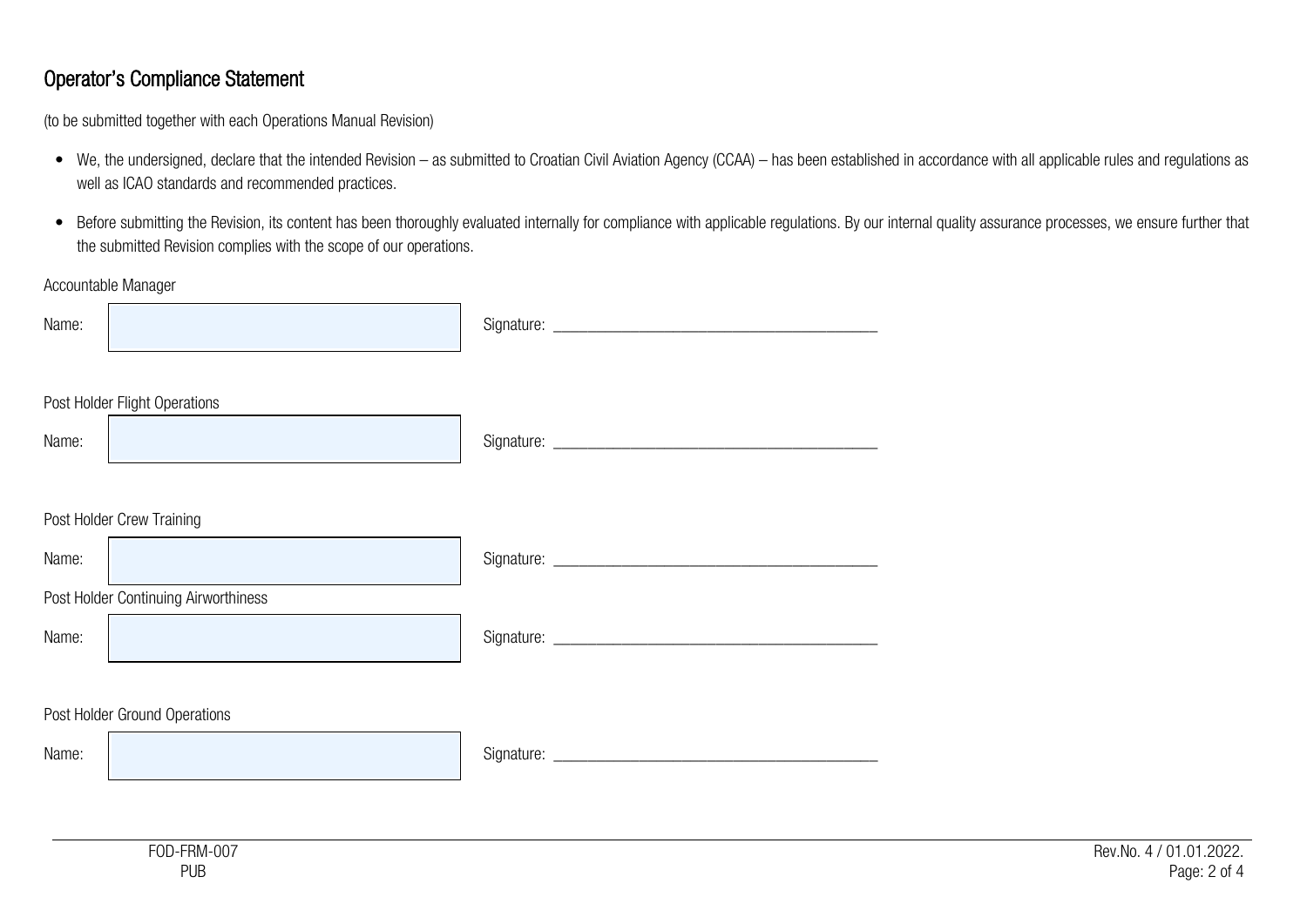### Operator's Compliance Statement

(to be submitted together with each Operations Manual Revision)

- We, the undersigned, declare that the intended Revision as submitted to Croatian Civil Aviation Agency (CCAA) has been established in accordance with all applicable rules and regulations as well as ICAO standards and recommended practices.
- Before submitting the Revision, its content has been thoroughly evaluated internally for compliance with applicable regulations. By our internal quality assurance processes, we ensure further that the submitted Revision complies with the scope of our operations.

#### Accountable Manager

| Name:                         |                                      |  |  |  |  |
|-------------------------------|--------------------------------------|--|--|--|--|
| Name:                         | Post Holder Flight Operations        |  |  |  |  |
|                               | Post Holder Crew Training            |  |  |  |  |
| Name:                         |                                      |  |  |  |  |
|                               | Post Holder Continuing Airworthiness |  |  |  |  |
| Name:                         |                                      |  |  |  |  |
|                               |                                      |  |  |  |  |
| Post Holder Ground Operations |                                      |  |  |  |  |
| Name:                         |                                      |  |  |  |  |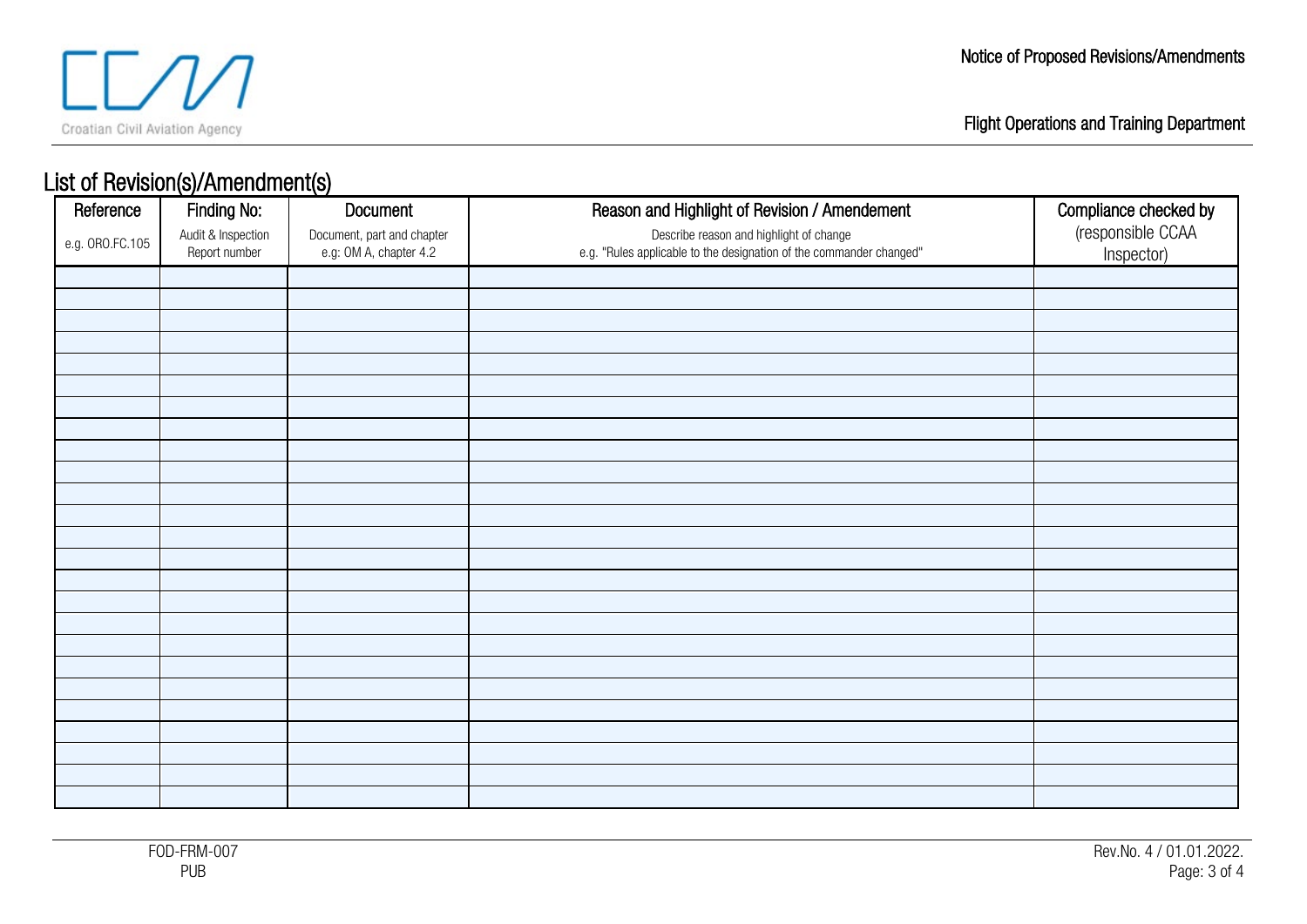

## List of Revision(s)/Amendment(s)

| Reference       | Finding No:        | Document                   | Reason and Highlight of Revision / Amendement                       | Compliance checked by |
|-----------------|--------------------|----------------------------|---------------------------------------------------------------------|-----------------------|
| e.g. ORO.FC.105 | Audit & Inspection | Document, part and chapter | Describe reason and highlight of change                             | (responsible CCAA     |
|                 | Report number      | e.g: OM A, chapter 4.2     | e.g. "Rules applicable to the designation of the commander changed" | Inspector)            |
|                 |                    |                            |                                                                     |                       |
|                 |                    |                            |                                                                     |                       |
|                 |                    |                            |                                                                     |                       |
|                 |                    |                            |                                                                     |                       |
|                 |                    |                            |                                                                     |                       |
|                 |                    |                            |                                                                     |                       |
|                 |                    |                            |                                                                     |                       |
|                 |                    |                            |                                                                     |                       |
|                 |                    |                            |                                                                     |                       |
|                 |                    |                            |                                                                     |                       |
|                 |                    |                            |                                                                     |                       |
|                 |                    |                            |                                                                     |                       |
|                 |                    |                            |                                                                     |                       |
|                 |                    |                            |                                                                     |                       |
|                 |                    |                            |                                                                     |                       |
|                 |                    |                            |                                                                     |                       |
|                 |                    |                            |                                                                     |                       |
|                 |                    |                            |                                                                     |                       |
|                 |                    |                            |                                                                     |                       |
|                 |                    |                            |                                                                     |                       |
|                 |                    |                            |                                                                     |                       |
|                 |                    |                            |                                                                     |                       |
|                 |                    |                            |                                                                     |                       |
|                 |                    |                            |                                                                     |                       |
|                 |                    |                            |                                                                     |                       |